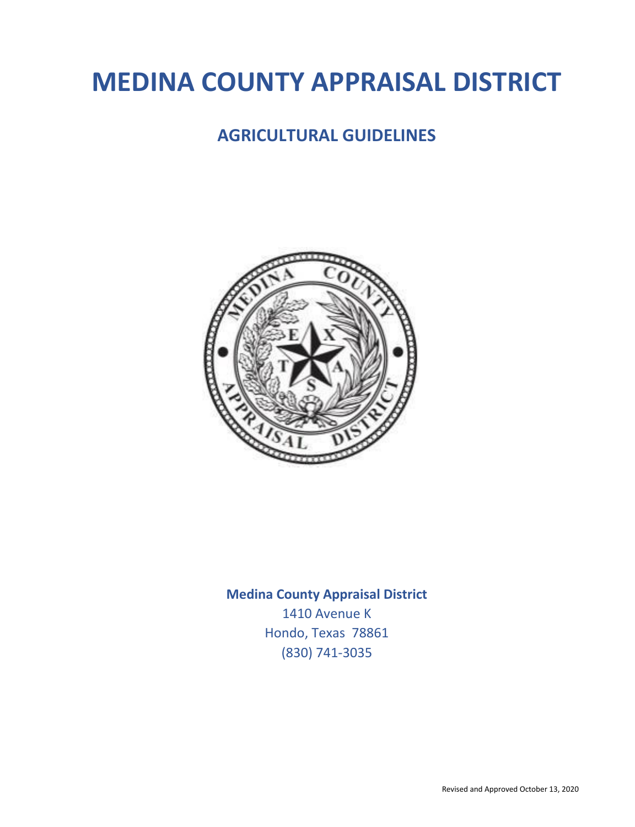# **MEDINA COUNTY APPRAISAL DISTRICT**

## **AGRICULTURAL GUIDELINES**



## **Medina County Appraisal District**  1410 Avenue K Hondo, Texas 78861 (830) 741-3035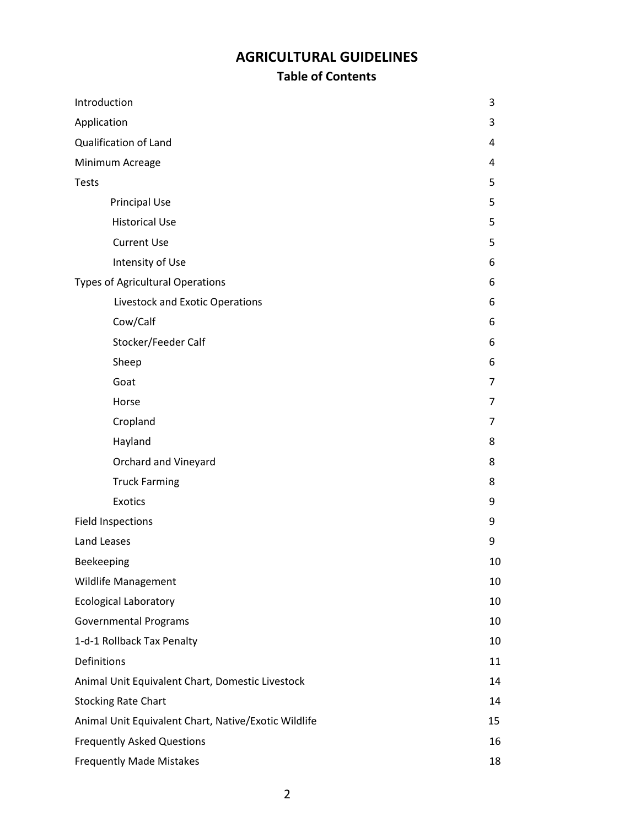## **AGRICULTURAL GUIDELINES**

### **Table of Contents**

| Introduction                                         |    |  |
|------------------------------------------------------|----|--|
| Application                                          |    |  |
| <b>Qualification of Land</b>                         | 4  |  |
| Minimum Acreage                                      | 4  |  |
| <b>Tests</b>                                         | 5  |  |
| <b>Principal Use</b>                                 | 5  |  |
| <b>Historical Use</b>                                | 5  |  |
| <b>Current Use</b>                                   | 5  |  |
| Intensity of Use                                     | 6  |  |
| <b>Types of Agricultural Operations</b>              | 6  |  |
| Livestock and Exotic Operations                      | 6  |  |
| Cow/Calf                                             | 6  |  |
| Stocker/Feeder Calf                                  | 6  |  |
| Sheep                                                | 6  |  |
| Goat                                                 | 7  |  |
| Horse                                                | 7  |  |
| Cropland                                             | 7  |  |
| Hayland                                              | 8  |  |
| Orchard and Vineyard                                 | 8  |  |
| <b>Truck Farming</b>                                 | 8  |  |
| <b>Exotics</b>                                       | 9  |  |
| <b>Field Inspections</b>                             | 9  |  |
| Land Leases                                          | 9  |  |
| Beekeeping                                           |    |  |
| <b>Wildlife Management</b>                           |    |  |
| <b>Ecological Laboratory</b>                         |    |  |
| <b>Governmental Programs</b>                         |    |  |
| 1-d-1 Rollback Tax Penalty                           |    |  |
| Definitions                                          |    |  |
| Animal Unit Equivalent Chart, Domestic Livestock     | 14 |  |
| <b>Stocking Rate Chart</b>                           | 14 |  |
| Animal Unit Equivalent Chart, Native/Exotic Wildlife |    |  |
| <b>Frequently Asked Questions</b>                    |    |  |
| <b>Frequently Made Mistakes</b>                      | 18 |  |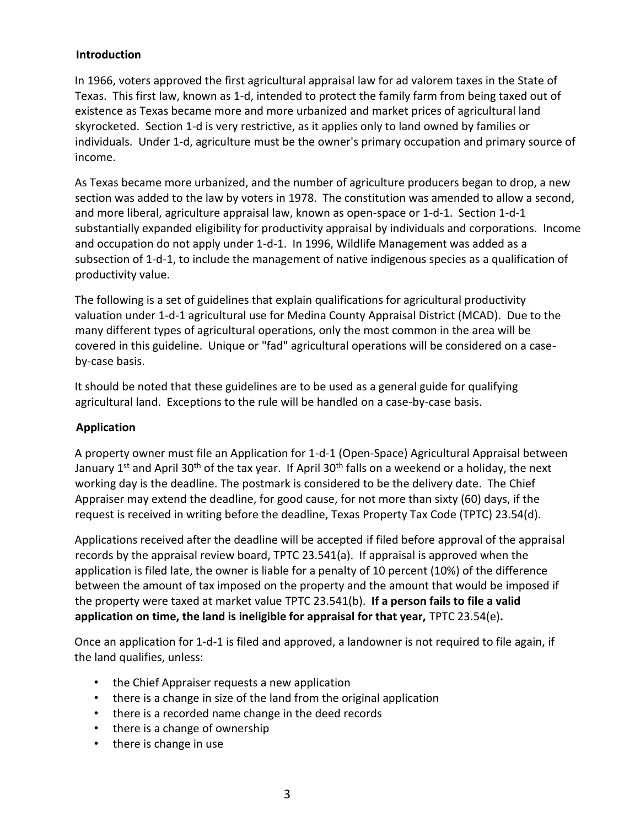#### **Introduction**

In 1966, voters approved the first agricultural appraisal law for ad valorem taxes in the State of Texas. This first law, known as 1-d, intended to protect the family farm from being taxed out of existence as Texas became more and more urbanized and market prices of agricultural land skyrocketed. Section 1-d is very restrictive, as it applies only to land owned by families or individuals. Under 1-d, agriculture must be the owner's primary occupation and primary source of income.

As Texas became more urbanized, and the number of agriculture producers began to drop, a new section was added to the law by voters in 1978. The constitution was amended to allow a second, and more liberal, agriculture appraisal law, known as open-space or 1-d-1. Section 1-d-1 substantially expanded eligibility for productivity appraisal by individuals and corporations. Income and occupation do not apply under 1-d-1. In 1996, Wildlife Management was added as a subsection of 1-d-1, to include the management of native indigenous species as a qualification of productivity value.

The following is a set of guidelines that explain qualifications for agricultural productivity valuation under 1-d-1 agricultural use for Medina County Appraisal District (MCAD). Due to the many different types of agricultural operations, only the most common in the area will be covered in this guideline. Unique or "fad" agricultural operations will be considered on a caseby-case basis.

It should be noted that these guidelines are to be used as a general guide for qualifying agricultural land. Exceptions to the rule will be handled on a case-by-case basis.

#### **Application**

A property owner must file an Application for 1-d-1 (Open-Space) Agricultural Appraisal between January 1<sup>st</sup> and April 30<sup>th</sup> of the tax year. If April 30<sup>th</sup> falls on a weekend or a holiday, the next working day is the deadline. The postmark is considered to be the delivery date. The Chief Appraiser may extend the deadline, for good cause, for not more than sixty (60) days, if the request is received in writing before the deadline, Texas Property Tax Code (TPTC) 23.54(d).

Applications received after the deadline will be accepted if filed before approval of the appraisal records by the appraisal review board, TPTC 23.541(a). If appraisal is approved when the application is filed late, the owner is liable for a penalty of 10 percent (10%) of the difference between the amount of tax imposed on the property and the amount that would be imposed if the property were taxed at market value TPTC 23.541(b). **If a person fails to file a valid application on time, the land is ineligible for appraisal for that year,** TPTC 23.54(e)**.**

Once an application for 1-d-1 is filed and approved, a landowner is not required to file again, if the land qualifies, unless:

- the Chief Appraiser requests a new application
- there is a change in size of the land from the original application
- there is a recorded name change in the deed records
- there is a change of ownership
- there is change in use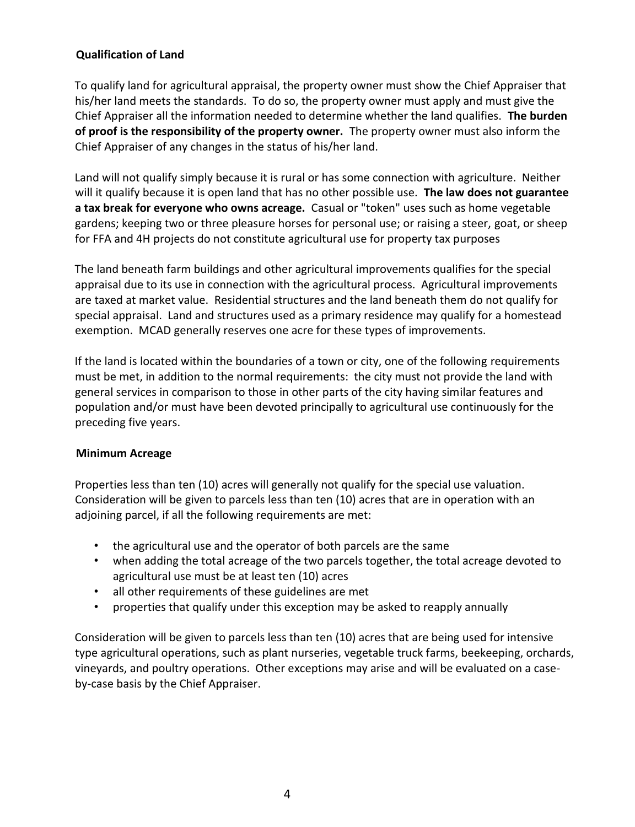#### **Qualification of Land**

To qualify land for agricultural appraisal, the property owner must show the Chief Appraiser that his/her land meets the standards. To do so, the property owner must apply and must give the Chief Appraiser all the information needed to determine whether the land qualifies. **The burden of proof is the responsibility of the property owner.** The property owner must also inform the Chief Appraiser of any changes in the status of his/her land.

Land will not qualify simply because it is rural or has some connection with agriculture. Neither will it qualify because it is open land that has no other possible use. **The law does not guarantee a tax break for everyone who owns acreage.** Casual or "token" uses such as home vegetable gardens; keeping two or three pleasure horses for personal use; or raising a steer, goat, or sheep for FFA and 4H projects do not constitute agricultural use for property tax purposes

The land beneath farm buildings and other agricultural improvements qualifies for the special appraisal due to its use in connection with the agricultural process. Agricultural improvements are taxed at market value. Residential structures and the land beneath them do not qualify for special appraisal. Land and structures used as a primary residence may qualify for a homestead exemption. MCAD generally reserves one acre for these types of improvements.

If the land is located within the boundaries of a town or city, one of the following requirements must be met, in addition to the normal requirements: the city must not provide the land with general services in comparison to those in other parts of the city having similar features and population and/or must have been devoted principally to agricultural use continuously for the preceding five years.

#### **Minimum Acreage**

Properties less than ten (10) acres will generally not qualify for the special use valuation. Consideration will be given to parcels less than ten (10) acres that are in operation with an adjoining parcel, if all the following requirements are met:

- the agricultural use and the operator of both parcels are the same
- when adding the total acreage of the two parcels together, the total acreage devoted to agricultural use must be at least ten (10) acres
- all other requirements of these guidelines are met
- properties that qualify under this exception may be asked to reapply annually

Consideration will be given to parcels less than ten (10) acres that are being used for intensive type agricultural operations, such as plant nurseries, vegetable truck farms, beekeeping, orchards, vineyards, and poultry operations. Other exceptions may arise and will be evaluated on a caseby-case basis by the Chief Appraiser.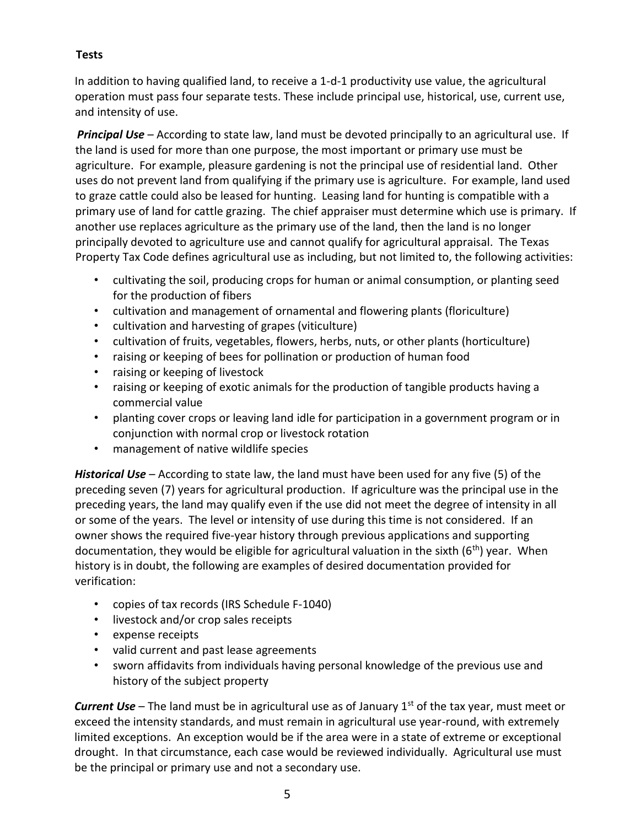#### **Tests**

In addition to having qualified land, to receive a 1-d-1 productivity use value, the agricultural operation must pass four separate tests. These include principal use, historical, use, current use, and intensity of use.

*Principal Use* – According to state law, land must be devoted principally to an agricultural use. If the land is used for more than one purpose, the most important or primary use must be agriculture. For example, pleasure gardening is not the principal use of residential land. Other uses do not prevent land from qualifying if the primary use is agriculture. For example, land used to graze cattle could also be leased for hunting. Leasing land for hunting is compatible with a primary use of land for cattle grazing. The chief appraiser must determine which use is primary. If another use replaces agriculture as the primary use of the land, then the land is no longer principally devoted to agriculture use and cannot qualify for agricultural appraisal. The Texas Property Tax Code defines agricultural use as including, but not limited to, the following activities:

- cultivating the soil, producing crops for human or animal consumption, or planting seed for the production of fibers
- cultivation and management of ornamental and flowering plants (floriculture)
- cultivation and harvesting of grapes (viticulture)
- cultivation of fruits, vegetables, flowers, herbs, nuts, or other plants (horticulture)
- raising or keeping of bees for pollination or production of human food
- raising or keeping of livestock
- raising or keeping of exotic animals for the production of tangible products having a commercial value
- planting cover crops or leaving land idle for participation in a government program or in conjunction with normal crop or livestock rotation
- management of native wildlife species

*Historical Use* – According to state law, the land must have been used for any five (5) of the preceding seven (7) years for agricultural production. If agriculture was the principal use in the preceding years, the land may qualify even if the use did not meet the degree of intensity in all or some of the years. The level or intensity of use during this time is not considered. If an owner shows the required five-year history through previous applications and supporting documentation, they would be eligible for agricultural valuation in the sixth  $(6<sup>th</sup>)$  year. When history is in doubt, the following are examples of desired documentation provided for verification:

- copies of tax records (IRS Schedule F-1040)
- livestock and/or crop sales receipts
- expense receipts
- valid current and past lease agreements
- sworn affidavits from individuals having personal knowledge of the previous use and history of the subject property

**Current Use** – The land must be in agricultural use as of January 1<sup>st</sup> of the tax year, must meet or exceed the intensity standards, and must remain in agricultural use year-round, with extremely limited exceptions. An exception would be if the area were in a state of extreme or exceptional drought. In that circumstance, each case would be reviewed individually. Agricultural use must be the principal or primary use and not a secondary use.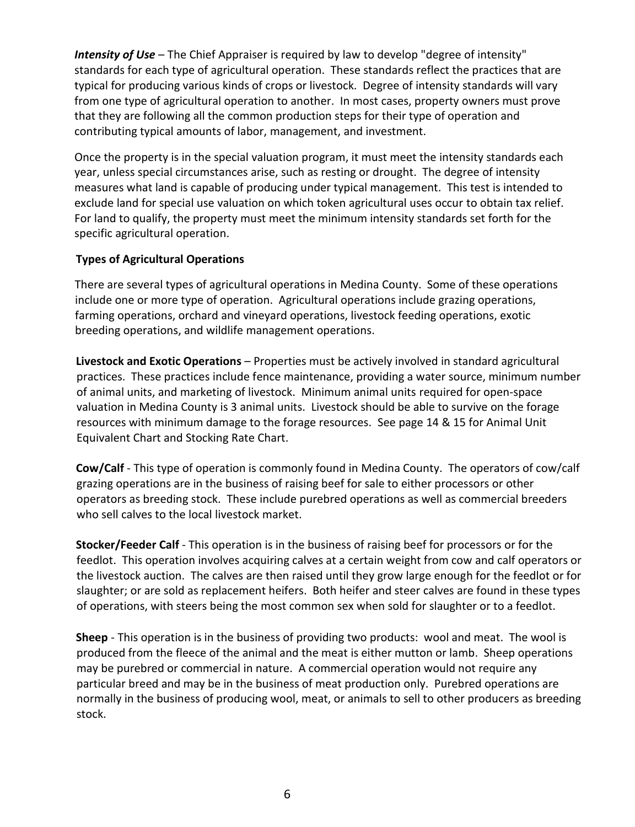*Intensity of Use* – The Chief Appraiser is required by law to develop "degree of intensity" standards for each type of agricultural operation. These standards reflect the practices that are typical for producing various kinds of crops or livestock. Degree of intensity standards will vary from one type of agricultural operation to another. In most cases, property owners must prove that they are following all the common production steps for their type of operation and contributing typical amounts of labor, management, and investment.

Once the property is in the special valuation program, it must meet the intensity standards each year, unless special circumstances arise, such as resting or drought. The degree of intensity measures what land is capable of producing under typical management. This test is intended to exclude land for special use valuation on which token agricultural uses occur to obtain tax relief. For land to qualify, the property must meet the minimum intensity standards set forth for the specific agricultural operation.

#### **Types of Agricultural Operations**

There are several types of agricultural operations in Medina County. Some of these operations include one or more type of operation. Agricultural operations include grazing operations, farming operations, orchard and vineyard operations, livestock feeding operations, exotic breeding operations, and wildlife management operations.

**Livestock and Exotic Operations** – Properties must be actively involved in standard agricultural practices. These practices include fence maintenance, providing a water source, minimum number of animal units, and marketing of livestock. Minimum animal units required for open-space valuation in Medina County is 3 animal units. Livestock should be able to survive on the forage resources with minimum damage to the forage resources. See page 14 & 15 for Animal Unit Equivalent Chart and Stocking Rate Chart.

**Cow/Calf** - This type of operation is commonly found in Medina County. The operators of cow/calf grazing operations are in the business of raising beef for sale to either processors or other operators as breeding stock. These include purebred operations as well as commercial breeders who sell calves to the local livestock market.

**Stocker/Feeder Calf** - This operation is in the business of raising beef for processors or for the feedlot. This operation involves acquiring calves at a certain weight from cow and calf operators or the livestock auction. The calves are then raised until they grow large enough for the feedlot or for slaughter; or are sold as replacement heifers. Both heifer and steer calves are found in these types of operations, with steers being the most common sex when sold for slaughter or to a feedlot.

**Sheep** - This operation is in the business of providing two products: wool and meat. The wool is produced from the fleece of the animal and the meat is either mutton or lamb. Sheep operations may be purebred or commercial in nature. A commercial operation would not require any particular breed and may be in the business of meat production only. Purebred operations are normally in the business of producing wool, meat, or animals to sell to other producers as breeding stock.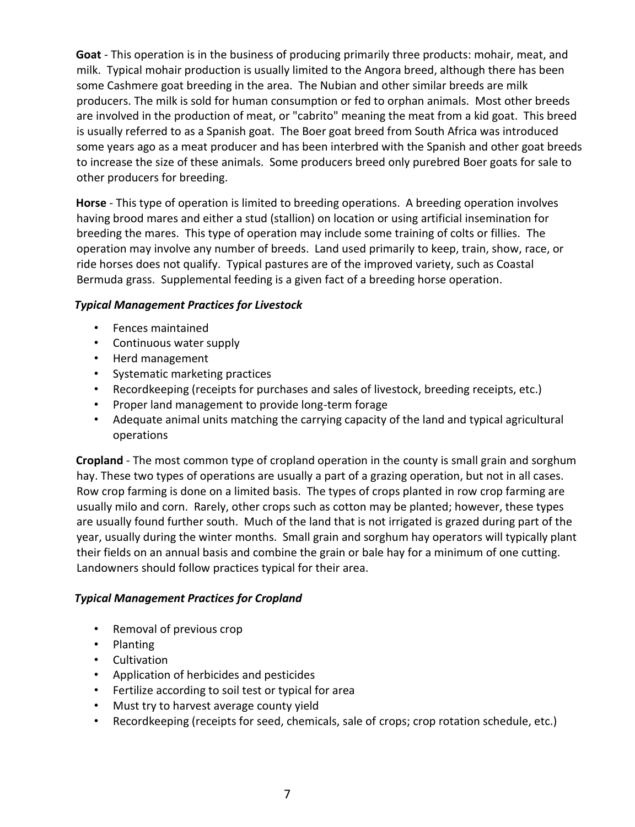**Goat** - This operation is in the business of producing primarily three products: mohair, meat, and milk. Typical mohair production is usually limited to the Angora breed, although there has been some Cashmere goat breeding in the area. The Nubian and other similar breeds are milk producers. The milk is sold for human consumption or fed to orphan animals. Most other breeds are involved in the production of meat, or "cabrito" meaning the meat from a kid goat. This breed is usually referred to as a Spanish goat. The Boer goat breed from South Africa was introduced some years ago as a meat producer and has been interbred with the Spanish and other goat breeds to increase the size of these animals. Some producers breed only purebred Boer goats for sale to other producers for breeding.

**Horse** - This type of operation is limited to breeding operations. A breeding operation involves having brood mares and either a stud (stallion) on location or using artificial insemination for breeding the mares. This type of operation may include some training of colts or fillies. The operation may involve any number of breeds. Land used primarily to keep, train, show, race, or ride horses does not qualify. Typical pastures are of the improved variety, such as Coastal Bermuda grass. Supplemental feeding is a given fact of a breeding horse operation.

#### *Typical Management Practices for Livestock*

- Fences maintained
- Continuous water supply
- Herd management
- Systematic marketing practices
- Recordkeeping (receipts for purchases and sales of livestock, breeding receipts, etc.)
- Proper land management to provide long-term forage
- Adequate animal units matching the carrying capacity of the land and typical agricultural operations

**Cropland** - The most common type of cropland operation in the county is small grain and sorghum hay. These two types of operations are usually a part of a grazing operation, but not in all cases. Row crop farming is done on a limited basis. The types of crops planted in row crop farming are usually milo and corn. Rarely, other crops such as cotton may be planted; however, these types are usually found further south. Much of the land that is not irrigated is grazed during part of the year, usually during the winter months. Small grain and sorghum hay operators will typically plant their fields on an annual basis and combine the grain or bale hay for a minimum of one cutting. Landowners should follow practices typical for their area.

#### *Typical Management Practices for Cropland*

- Removal of previous crop
- Planting
- Cultivation
- Application of herbicides and pesticides
- Fertilize according to soil test or typical for area
- Must try to harvest average county yield
- Recordkeeping (receipts for seed, chemicals, sale of crops; crop rotation schedule, etc.)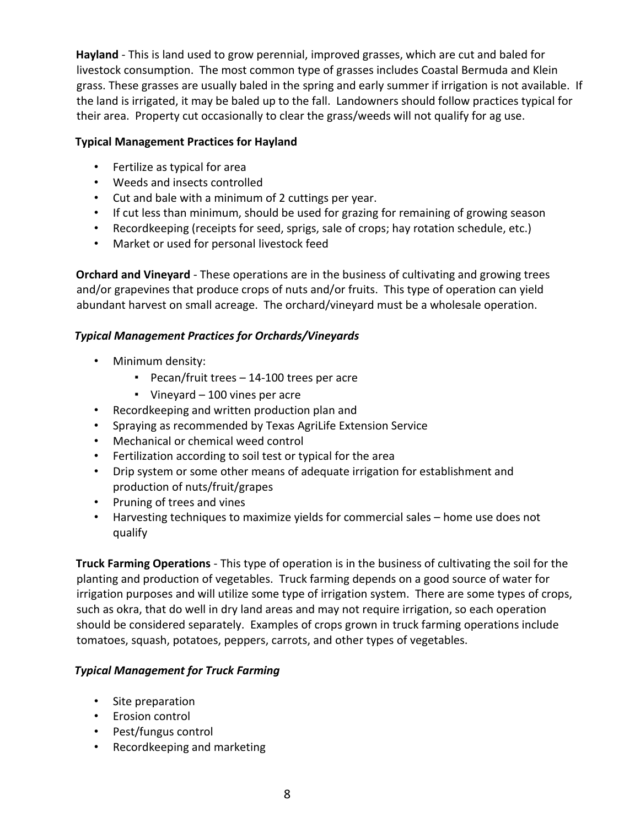**Hayland** - This is land used to grow perennial, improved grasses, which are cut and baled for livestock consumption. The most common type of grasses includes Coastal Bermuda and Klein grass. These grasses are usually baled in the spring and early summer if irrigation is not available. If the land is irrigated, it may be baled up to the fall. Landowners should follow practices typical for their area. Property cut occasionally to clear the grass/weeds will not qualify for ag use.

#### **Typical Management Practices for Hayland**

- Fertilize as typical for area
- Weeds and insects controlled
- Cut and bale with a minimum of 2 cuttings per year.
- If cut less than minimum, should be used for grazing for remaining of growing season
- Recordkeeping (receipts for seed, sprigs, sale of crops; hay rotation schedule, etc.)
- Market or used for personal livestock feed

**Orchard and Vineyard** - These operations are in the business of cultivating and growing trees and/or grapevines that produce crops of nuts and/or fruits. This type of operation can yield abundant harvest on small acreage. The orchard/vineyard must be a wholesale operation.

#### *Typical Management Practices for Orchards/Vineyards*

- Minimum density:
	- Pecan/fruit trees 14-100 trees per acre
	- Vineyard 100 vines per acre
- Recordkeeping and written production plan and
- Spraying as recommended by Texas AgriLife Extension Service
- Mechanical or chemical weed control
- Fertilization according to soil test or typical for the area
- Drip system or some other means of adequate irrigation for establishment and production of nuts/fruit/grapes
- Pruning of trees and vines
- Harvesting techniques to maximize yields for commercial sales home use does not qualify

**Truck Farming Operations** - This type of operation is in the business of cultivating the soil for the planting and production of vegetables. Truck farming depends on a good source of water for irrigation purposes and will utilize some type of irrigation system. There are some types of crops, such as okra, that do well in dry land areas and may not require irrigation, so each operation should be considered separately. Examples of crops grown in truck farming operations include tomatoes, squash, potatoes, peppers, carrots, and other types of vegetables.

#### *Typical Management for Truck Farming*

- Site preparation
- Erosion control
- Pest/fungus control
- Recordkeeping and marketing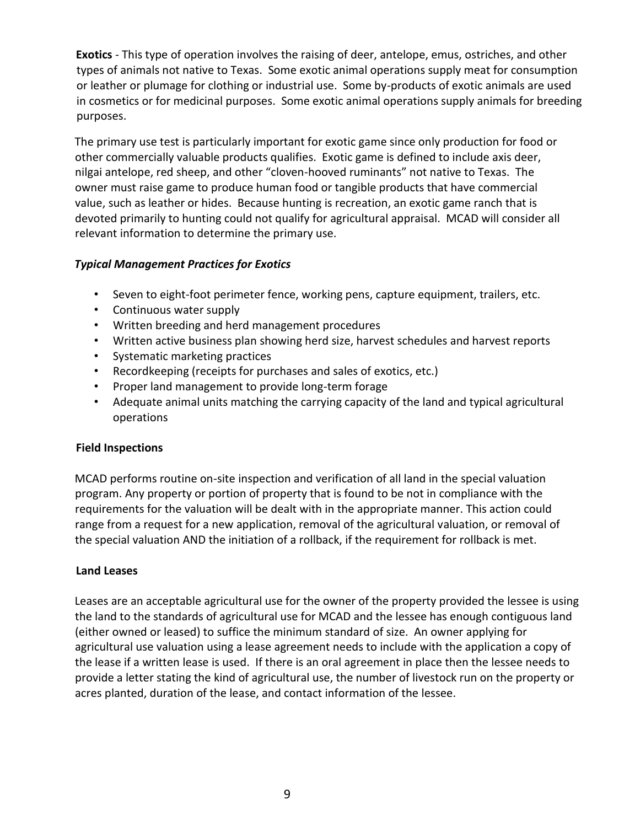**Exotics** - This type of operation involves the raising of deer, antelope, emus, ostriches, and other types of animals not native to Texas. Some exotic animal operations supply meat for consumption or leather or plumage for clothing or industrial use. Some by-products of exotic animals are used in cosmetics or for medicinal purposes. Some exotic animal operations supply animals for breeding purposes.

The primary use test is particularly important for exotic game since only production for food or other commercially valuable products qualifies. Exotic game is defined to include axis deer, nilgai antelope, red sheep, and other "cloven-hooved ruminants" not native to Texas. The owner must raise game to produce human food or tangible products that have commercial value, such as leather or hides. Because hunting is recreation, an exotic game ranch that is devoted primarily to hunting could not qualify for agricultural appraisal. MCAD will consider all relevant information to determine the primary use.

#### *Typical Management Practices for Exotics*

- Seven to eight-foot perimeter fence, working pens, capture equipment, trailers, etc.
- Continuous water supply
- Written breeding and herd management procedures
- Written active business plan showing herd size, harvest schedules and harvest reports
- Systematic marketing practices
- Recordkeeping (receipts for purchases and sales of exotics, etc.)
- Proper land management to provide long-term forage
- Adequate animal units matching the carrying capacity of the land and typical agricultural operations

#### **Field Inspections**

MCAD performs routine on-site inspection and verification of all land in the special valuation program. Any property or portion of property that is found to be not in compliance with the requirements for the valuation will be dealt with in the appropriate manner. This action could range from a request for a new application, removal of the agricultural valuation, or removal of the special valuation AND the initiation of a rollback, if the requirement for rollback is met.

#### **Land Leases**

Leases are an acceptable agricultural use for the owner of the property provided the lessee is using the land to the standards of agricultural use for MCAD and the lessee has enough contiguous land (either owned or leased) to suffice the minimum standard of size. An owner applying for agricultural use valuation using a lease agreement needs to include with the application a copy of the lease if a written lease is used. If there is an oral agreement in place then the lessee needs to provide a letter stating the kind of agricultural use, the number of livestock run on the property or acres planted, duration of the lease, and contact information of the lessee.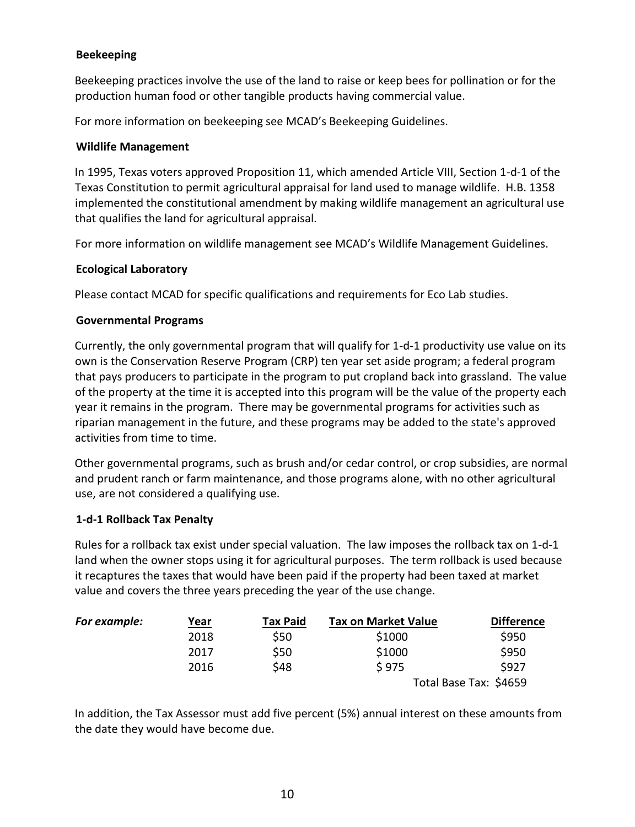#### **Beekeeping**

Beekeeping practices involve the use of the land to raise or keep bees for pollination or for the production human food or other tangible products having commercial value.

For more information on beekeeping see MCAD's Beekeeping Guidelines.

#### **Wildlife Management**

In 1995, Texas voters approved Proposition 11, which amended Article VIII, Section 1-d-1 of the Texas Constitution to permit agricultural appraisal for land used to manage wildlife. H.B. 1358 implemented the constitutional amendment by making wildlife management an agricultural use that qualifies the land for agricultural appraisal.

For more information on wildlife management see MCAD's Wildlife Management Guidelines.

#### **Ecological Laboratory**

Please contact MCAD for specific qualifications and requirements for Eco Lab studies.

#### **Governmental Programs**

Currently, the only governmental program that will qualify for 1-d-1 productivity use value on its own is the Conservation Reserve Program (CRP) ten year set aside program; a federal program that pays producers to participate in the program to put cropland back into grassland. The value of the property at the time it is accepted into this program will be the value of the property each year it remains in the program. There may be governmental programs for activities such as riparian management in the future, and these programs may be added to the state's approved activities from time to time.

Other governmental programs, such as brush and/or cedar control, or crop subsidies, are normal and prudent ranch or farm maintenance, and those programs alone, with no other agricultural use, are not considered a qualifying use.

#### **1-d-1 Rollback Tax Penalty**

Rules for a rollback tax exist under special valuation. The law imposes the rollback tax on 1-d-1 land when the owner stops using it for agricultural purposes. The term rollback is used because it recaptures the taxes that would have been paid if the property had been taxed at market value and covers the three years preceding the year of the use change.

| For example: | <u>Year</u> | <b>Tax Paid</b> | <b>Tax on Market Value</b> | <b>Difference</b>      |
|--------------|-------------|-----------------|----------------------------|------------------------|
|              | 2018        | \$50            | \$1000                     | \$950                  |
|              | 2017        | \$50            | \$1000                     | \$950                  |
|              | 2016        | \$48            | \$975                      | \$927                  |
|              |             |                 |                            | Total Base Tax: \$4659 |

In addition, the Tax Assessor must add five percent (5%) annual interest on these amounts from the date they would have become due.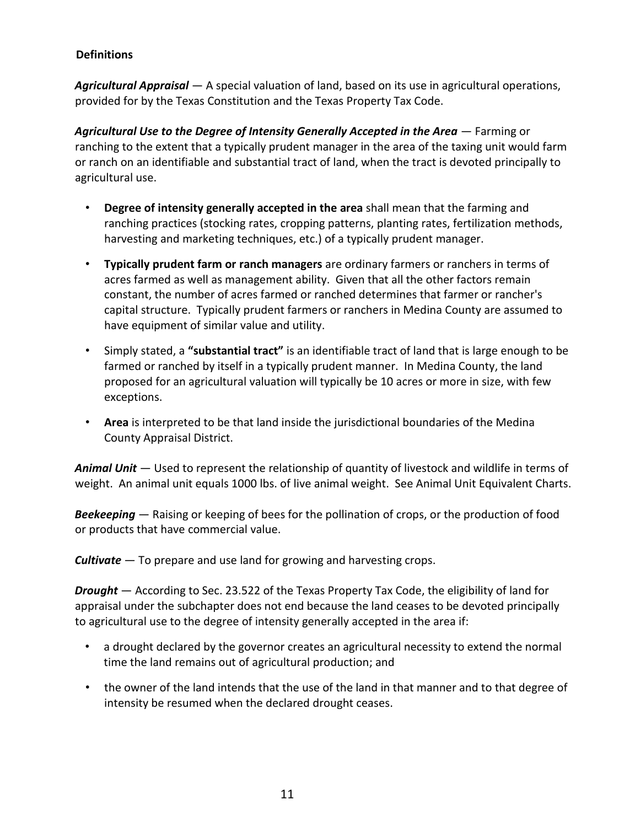#### **Definitions**

*Agricultural Appraisal* — A special valuation of land, based on its use in agricultural operations, provided for by the Texas Constitution and the Texas Property Tax Code.

*Agricultural Use to the Degree of Intensity Generally Accepted in the Area* — Farming or ranching to the extent that a typically prudent manager in the area of the taxing unit would farm or ranch on an identifiable and substantial tract of land, when the tract is devoted principally to agricultural use.

- **Degree of intensity generally accepted in the area** shall mean that the farming and ranching practices (stocking rates, cropping patterns, planting rates, fertilization methods, harvesting and marketing techniques, etc.) of a typically prudent manager.
- **Typically prudent farm or ranch managers** are ordinary farmers or ranchers in terms of acres farmed as well as management ability. Given that all the other factors remain constant, the number of acres farmed or ranched determines that farmer or rancher's capital structure. Typically prudent farmers or ranchers in Medina County are assumed to have equipment of similar value and utility.
- Simply stated, a **"substantial tract"** is an identifiable tract of land that is large enough to be farmed or ranched by itself in a typically prudent manner. In Medina County, the land proposed for an agricultural valuation will typically be 10 acres or more in size, with few exceptions.
- **Area** is interpreted to be that land inside the jurisdictional boundaries of the Medina County Appraisal District.

*Animal Unit* — Used to represent the relationship of quantity of livestock and wildlife in terms of weight. An animal unit equals 1000 lbs. of live animal weight. See Animal Unit Equivalent Charts.

*Beekeeping* — Raising or keeping of bees for the pollination of crops, or the production of food or products that have commercial value.

*Cultivate* — To prepare and use land for growing and harvesting crops.

*Drought* — According to Sec. 23.522 of the Texas Property Tax Code, the eligibility of land for appraisal under the subchapter does not end because the land ceases to be devoted principally to agricultural use to the degree of intensity generally accepted in the area if:

- a drought declared by the governor creates an agricultural necessity to extend the normal time the land remains out of agricultural production; and
- the owner of the land intends that the use of the land in that manner and to that degree of intensity be resumed when the declared drought ceases.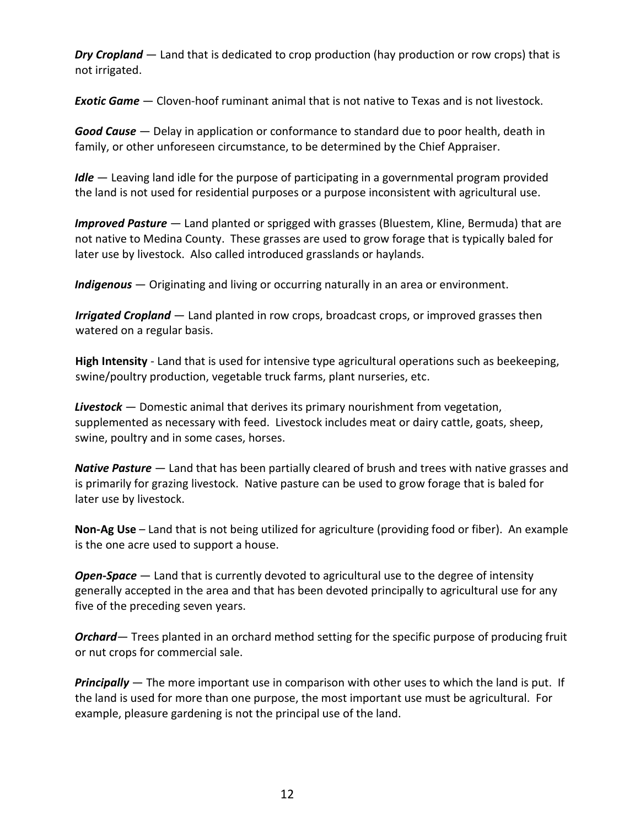*Dry Cropland* — Land that is dedicated to crop production (hay production or row crops) that is not irrigated.

*Exotic Game* — Cloven-hoof ruminant animal that is not native to Texas and is not livestock.

*Good Cause* — Delay in application or conformance to standard due to poor health, death in family, or other unforeseen circumstance, to be determined by the Chief Appraiser.

*Idle* — Leaving land idle for the purpose of participating in a governmental program provided the land is not used for residential purposes or a purpose inconsistent with agricultural use.

*Improved Pasture* — Land planted or sprigged with grasses (Bluestem, Kline, Bermuda) that are not native to Medina County. These grasses are used to grow forage that is typically baled for later use by livestock. Also called introduced grasslands or haylands.

*Indigenous* — Originating and living or occurring naturally in an area or environment.

*Irrigated Cropland* — Land planted in row crops, broadcast crops, or improved grasses then watered on a regular basis.

**High Intensity** - Land that is used for intensive type agricultural operations such as beekeeping, swine/poultry production, vegetable truck farms, plant nurseries, etc.

*Livestock* — Domestic animal that derives its primary nourishment from vegetation, supplemented as necessary with feed. Livestock includes meat or dairy cattle, goats, sheep, swine, poultry and in some cases, horses.

*Native Pasture* — Land that has been partially cleared of brush and trees with native grasses and is primarily for grazing livestock. Native pasture can be used to grow forage that is baled for later use by livestock.

**Non-Ag Use** – Land that is not being utilized for agriculture (providing food or fiber). An example is the one acre used to support a house.

*Open-Space* — Land that is currently devoted to agricultural use to the degree of intensity generally accepted in the area and that has been devoted principally to agricultural use for any five of the preceding seven years.

**Orchard**— Trees planted in an orchard method setting for the specific purpose of producing fruit or nut crops for commercial sale.

*Principally* — The more important use in comparison with other uses to which the land is put. If the land is used for more than one purpose, the most important use must be agricultural. For example, pleasure gardening is not the principal use of the land.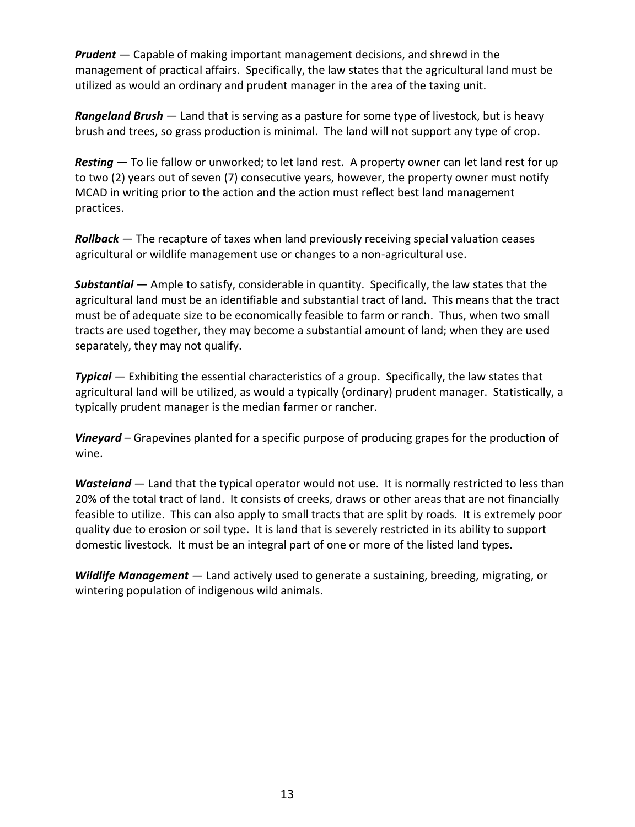*Prudent* — Capable of making important management decisions, and shrewd in the management of practical affairs. Specifically, the law states that the agricultural land must be utilized as would an ordinary and prudent manager in the area of the taxing unit.

*Rangeland Brush* — Land that is serving as a pasture for some type of livestock, but is heavy brush and trees, so grass production is minimal. The land will not support any type of crop.

*Resting* — To lie fallow or unworked; to let land rest. A property owner can let land rest for up to two (2) years out of seven (7) consecutive years, however, the property owner must notify MCAD in writing prior to the action and the action must reflect best land management practices.

*Rollback* — The recapture of taxes when land previously receiving special valuation ceases agricultural or wildlife management use or changes to a non-agricultural use.

*Substantial* — Ample to satisfy, considerable in quantity. Specifically, the law states that the agricultural land must be an identifiable and substantial tract of land. This means that the tract must be of adequate size to be economically feasible to farm or ranch. Thus, when two small tracts are used together, they may become a substantial amount of land; when they are used separately, they may not qualify.

*Typical* — Exhibiting the essential characteristics of a group. Specifically, the law states that agricultural land will be utilized, as would a typically (ordinary) prudent manager. Statistically, a typically prudent manager is the median farmer or rancher.

*Vineyard* – Grapevines planted for a specific purpose of producing grapes for the production of wine.

*Wasteland* — Land that the typical operator would not use. It is normally restricted to less than 20% of the total tract of land. It consists of creeks, draws or other areas that are not financially feasible to utilize. This can also apply to small tracts that are split by roads. It is extremely poor quality due to erosion or soil type. It is land that is severely restricted in its ability to support domestic livestock. It must be an integral part of one or more of the listed land types.

*Wildlife Management* — Land actively used to generate a sustaining, breeding, migrating, or wintering population of indigenous wild animals.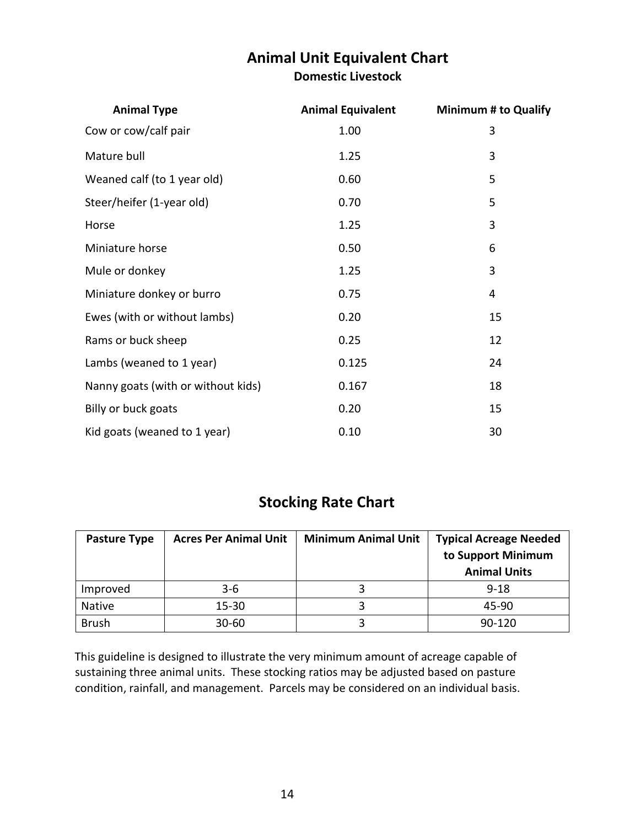### **Animal Unit Equivalent Chart Domestic Livestock**

| <b>Animal Type</b>                 | <b>Animal Equivalent</b> | <b>Minimum # to Qualify</b> |
|------------------------------------|--------------------------|-----------------------------|
| Cow or cow/calf pair               | 1.00                     | 3                           |
| Mature bull                        | 1.25                     | 3                           |
| Weaned calf (to 1 year old)        | 0.60                     | 5                           |
| Steer/heifer (1-year old)          | 0.70                     | 5                           |
| Horse                              | 1.25                     | 3                           |
| Miniature horse                    | 0.50                     | 6                           |
| Mule or donkey                     | 1.25                     | 3                           |
| Miniature donkey or burro          | 0.75                     | 4                           |
| Ewes (with or without lambs)       | 0.20                     | 15                          |
| Rams or buck sheep                 | 0.25                     | 12                          |
| Lambs (weaned to 1 year)           | 0.125                    | 24                          |
| Nanny goats (with or without kids) | 0.167                    | 18                          |
| Billy or buck goats                | 0.20                     | 15                          |
| Kid goats (weaned to 1 year)       | 0.10                     | 30                          |

## **Stocking Rate Chart**

| <b>Pasture Type</b> | <b>Acres Per Animal Unit</b> | <b>Minimum Animal Unit</b> | <b>Typical Acreage Needed</b><br>to Support Minimum<br><b>Animal Units</b> |
|---------------------|------------------------------|----------------------------|----------------------------------------------------------------------------|
| Improved            | $3-6$                        |                            | $9 - 18$                                                                   |
| Native              | $15 - 30$                    |                            | 45-90                                                                      |
| <b>Brush</b>        | $30 - 60$                    |                            | 90-120                                                                     |

This guideline is designed to illustrate the very minimum amount of acreage capable of sustaining three animal units. These stocking ratios may be adjusted based on pasture condition, rainfall, and management. Parcels may be considered on an individual basis.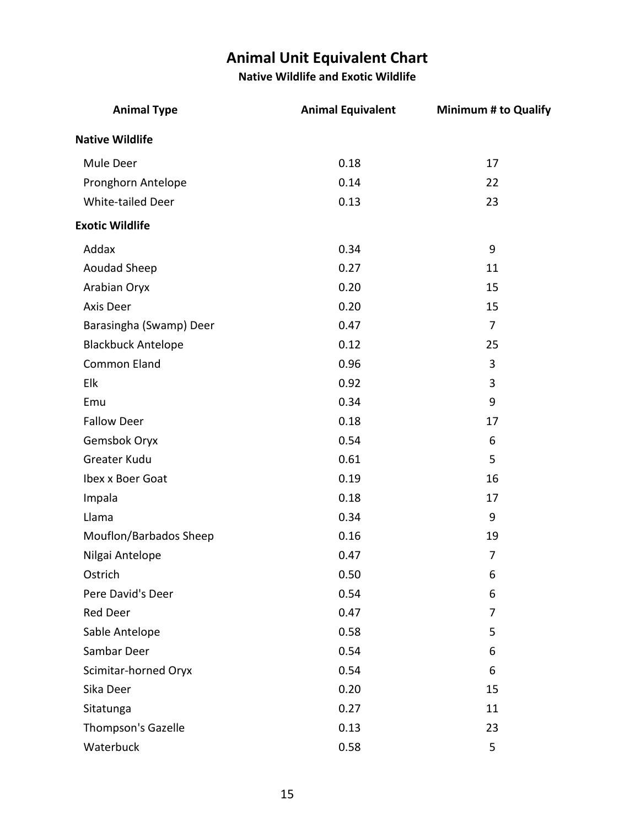## **Animal Unit Equivalent Chart**

**Native Wildlife and Exotic Wildlife**

| <b>Animal Type</b>        | <b>Animal Equivalent</b> | <b>Minimum # to Qualify</b> |
|---------------------------|--------------------------|-----------------------------|
| <b>Native Wildlife</b>    |                          |                             |
| Mule Deer                 | 0.18                     | 17                          |
| Pronghorn Antelope        | 0.14                     | 22                          |
| White-tailed Deer         | 0.13                     | 23                          |
| <b>Exotic Wildlife</b>    |                          |                             |
| Addax                     | 0.34                     | 9                           |
| Aoudad Sheep              | 0.27                     | 11                          |
| Arabian Oryx              | 0.20                     | 15                          |
| Axis Deer                 | 0.20                     | 15                          |
| Barasingha (Swamp) Deer   | 0.47                     | $\overline{7}$              |
| <b>Blackbuck Antelope</b> | 0.12                     | 25                          |
| <b>Common Eland</b>       | 0.96                     | 3                           |
| Elk                       | 0.92                     | 3                           |
| Emu                       | 0.34                     | 9                           |
| <b>Fallow Deer</b>        | 0.18                     | 17                          |
| Gemsbok Oryx              | 0.54                     | 6                           |
| Greater Kudu              | 0.61                     | 5                           |
| Ibex x Boer Goat          | 0.19                     | 16                          |
| Impala                    | 0.18                     | 17                          |
| Llama                     | 0.34                     | 9                           |
| Mouflon/Barbados Sheep    | 0.16                     | 19                          |
| Nilgai Antelope           | 0.47                     | 7                           |
| Ostrich                   | 0.50                     | 6                           |
| Pere David's Deer         | 0.54                     | 6                           |
| Red Deer                  | 0.47                     | 7                           |
| Sable Antelope            | 0.58                     | 5                           |
| Sambar Deer               | 0.54                     | 6                           |
| Scimitar-horned Oryx      | 0.54                     | 6                           |
| Sika Deer                 | 0.20                     | 15                          |
| Sitatunga                 | 0.27                     | 11                          |
| Thompson's Gazelle        | 0.13                     | 23                          |
| Waterbuck                 | 0.58                     | 5                           |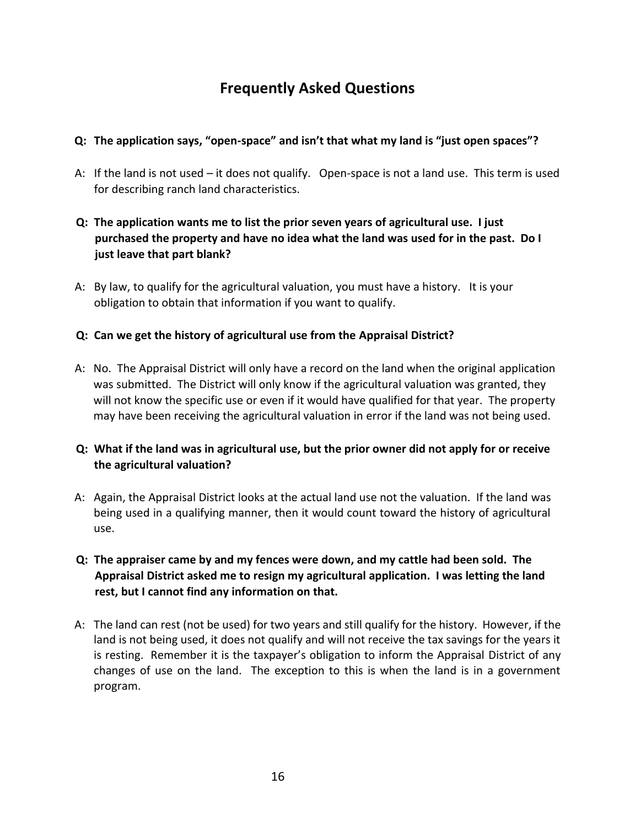## **Frequently Asked Questions**

#### **Q: The application says, "open-space" and isn't that what my land is "just open spaces"?**

- A: If the land is not used it does not qualify. Open-space is not a land use. This term is used for describing ranch land characteristics.
- **Q: The application wants me to list the prior seven years of agricultural use. I just purchased the property and have no idea what the land was used for in the past. Do I just leave that part blank?**
- A: By law, to qualify for the agricultural valuation, you must have a history. It is your obligation to obtain that information if you want to qualify.

#### **Q: Can we get the history of agricultural use from the Appraisal District?**

A: No. The Appraisal District will only have a record on the land when the original application was submitted. The District will only know if the agricultural valuation was granted, they will not know the specific use or even if it would have qualified for that year. The property may have been receiving the agricultural valuation in error if the land was not being used.

#### **Q: What if the land was in agricultural use, but the prior owner did not apply for or receive the agricultural valuation?**

- A: Again, the Appraisal District looks at the actual land use not the valuation. If the land was being used in a qualifying manner, then it would count toward the history of agricultural use.
- **Q: The appraiser came by and my fences were down, and my cattle had been sold. The Appraisal District asked me to resign my agricultural application. I was letting the land rest, but I cannot find any information on that.**
- A: The land can rest (not be used) for two years and still qualify for the history. However, if the land is not being used, it does not qualify and will not receive the tax savings for the years it is resting. Remember it is the taxpayer's obligation to inform the Appraisal District of any changes of use on the land. The exception to this is when the land is in a government program.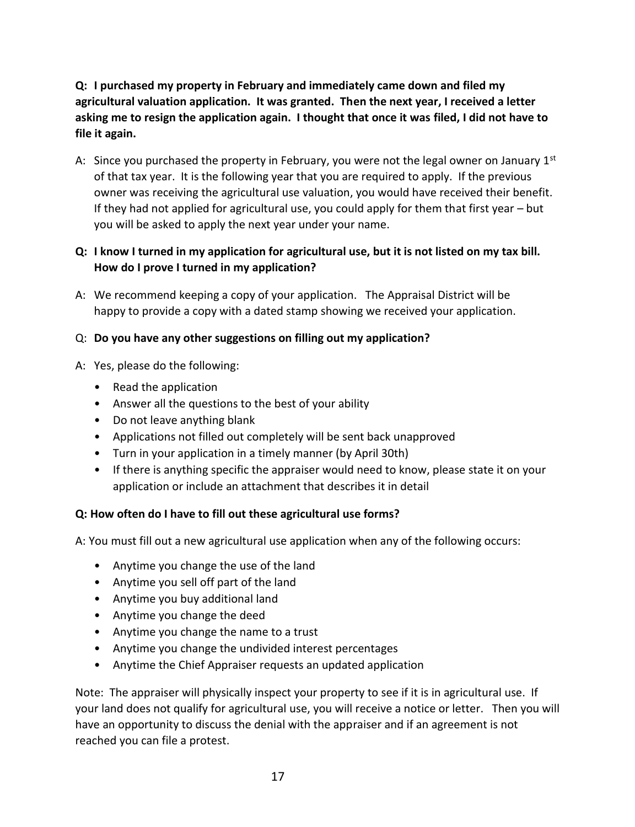#### **Q: I purchased my property in February and immediately came down and filed my agricultural valuation application. It was granted. Then the next year, I received a letter asking me to resign the application again. I thought that once it was filed, I did not have to file it again.**

A: Since you purchased the property in February, you were not the legal owner on January  $1<sup>st</sup>$ of that tax year. It is the following year that you are required to apply. If the previous owner was receiving the agricultural use valuation, you would have received their benefit. If they had not applied for agricultural use, you could apply for them that first year – but you will be asked to apply the next year under your name.

#### **Q: I know I turned in my application for agricultural use, but it is not listed on my tax bill. How do I prove I turned in my application?**

A: We recommend keeping a copy of your application. The Appraisal District will be happy to provide a copy with a dated stamp showing we received your application.

#### Q: **Do you have any other suggestions on filling out my application?**

- A: Yes, please do the following:
	- Read the application
	- Answer all the questions to the best of your ability
	- Do not leave anything blank
	- Applications not filled out completely will be sent back unapproved
	- Turn in your application in a timely manner (by April 30th)
	- If there is anything specific the appraiser would need to know, please state it on your application or include an attachment that describes it in detail

#### **Q: How often do I have to fill out these agricultural use forms?**

A: You must fill out a new agricultural use application when any of the following occurs:

- Anytime you change the use of the land
- Anytime you sell off part of the land
- Anytime you buy additional land
- Anytime you change the deed
- Anytime you change the name to a trust
- Anytime you change the undivided interest percentages
- Anytime the Chief Appraiser requests an updated application

Note: The appraiser will physically inspect your property to see if it is in agricultural use. If your land does not qualify for agricultural use, you will receive a notice or letter. Then you will have an opportunity to discuss the denial with the appraiser and if an agreement is not reached you can file a protest.